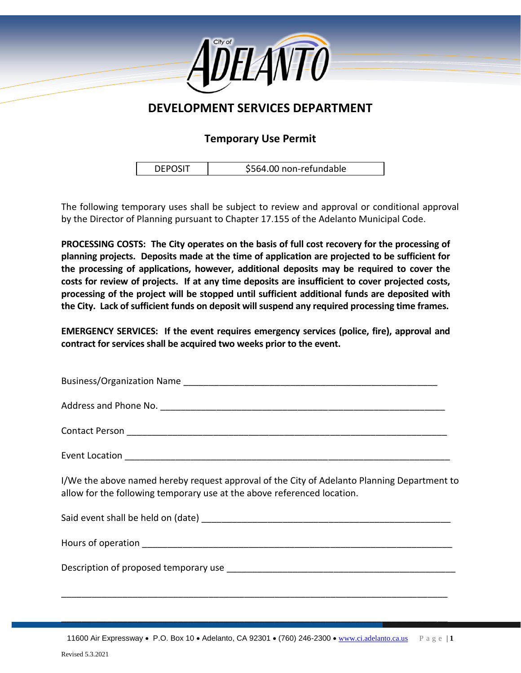

## **DEVELOPMENT SERVICES DEPARTMENT**

## **Temporary Use Permit**

| <b>DEPOSIT</b> | \$564.00 non-refundable |
|----------------|-------------------------|
|----------------|-------------------------|

 $\lceil$ 

The following temporary uses shall be subject to review and approval or conditional approval by the Director of Planning pursuant to Chapter 17.155 of the Adelanto Municipal Code.

**PROCESSING COSTS: The City operates on the basis of full cost recovery for the processing of planning projects. Deposits made at the time of application are projected to be sufficient for the processing of applications, however, additional deposits may be required to cover the costs for review of projects. If at any time deposits are insufficient to cover projected costs, processing of the project will be stopped until sufficient additional funds are deposited with the City. Lack of sufficient funds on deposit will suspend any required processing time frames.**

**EMERGENCY SERVICES: If the event requires emergency services (police, fire), approval and contract for services shall be acquired two weeks prior to the event.**

| I/We the above named hereby request approval of the City of Adelanto Planning Department to<br>allow for the following temporary use at the above referenced location. |
|------------------------------------------------------------------------------------------------------------------------------------------------------------------------|
|                                                                                                                                                                        |
|                                                                                                                                                                        |
|                                                                                                                                                                        |
|                                                                                                                                                                        |

\_\_\_\_\_\_\_\_\_\_\_\_\_\_\_\_\_\_\_\_\_\_\_\_\_\_\_\_\_\_\_\_\_\_\_\_\_\_\_\_\_\_\_\_\_\_\_\_\_\_\_\_\_\_\_\_\_\_\_\_\_\_\_\_\_\_\_\_\_\_\_\_\_\_\_\_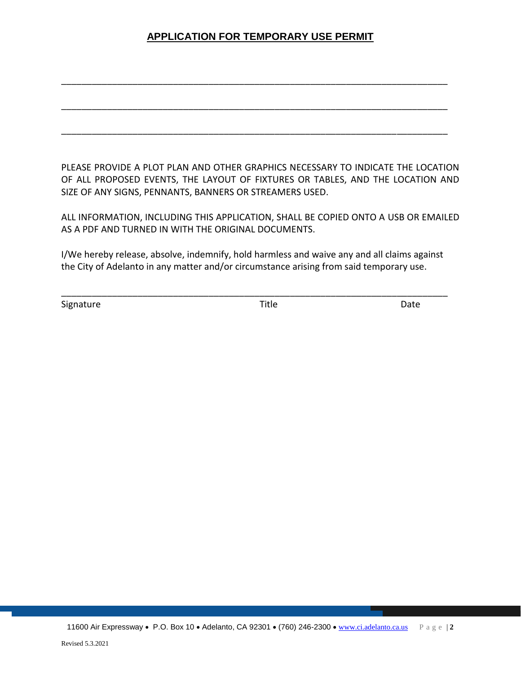## **APPLICATION FOR TEMPORARY USE PERMIT**

\_\_\_\_\_\_\_\_\_\_\_\_\_\_\_\_\_\_\_\_\_\_\_\_\_\_\_\_\_\_\_\_\_\_\_\_\_\_\_\_\_\_\_\_\_\_\_\_\_\_\_\_\_\_\_\_\_\_\_\_\_\_\_\_\_\_\_\_\_\_\_\_\_\_\_\_

\_\_\_\_\_\_\_\_\_\_\_\_\_\_\_\_\_\_\_\_\_\_\_\_\_\_\_\_\_\_\_\_\_\_\_\_\_\_\_\_\_\_\_\_\_\_\_\_\_\_\_\_\_\_\_\_\_\_\_\_\_\_\_\_\_\_\_\_\_\_\_\_\_\_\_\_

\_\_\_\_\_\_\_\_\_\_\_\_\_\_\_\_\_\_\_\_\_\_\_\_\_\_\_\_\_\_\_\_\_\_\_\_\_\_\_\_\_\_\_\_\_\_\_\_\_\_\_\_\_\_\_\_\_\_\_\_\_\_\_\_\_\_\_\_\_\_\_\_\_\_\_\_

PLEASE PROVIDE A PLOT PLAN AND OTHER GRAPHICS NECESSARY TO INDICATE THE LOCATION OF ALL PROPOSED EVENTS, THE LAYOUT OF FIXTURES OR TABLES, AND THE LOCATION AND SIZE OF ANY SIGNS, PENNANTS, BANNERS OR STREAMERS USED.

ALL INFORMATION, INCLUDING THIS APPLICATION, SHALL BE COPIED ONTO A USB OR EMAILED AS A PDF AND TURNED IN WITH THE ORIGINAL DOCUMENTS.

I/We hereby release, absolve, indemnify, hold harmless and waive any and all claims against the City of Adelanto in any matter and/or circumstance arising from said temporary use.

\_\_\_\_\_\_\_\_\_\_\_\_\_\_\_\_\_\_\_\_\_\_\_\_\_\_\_\_\_\_\_\_\_\_\_\_\_\_\_\_\_\_\_\_\_\_\_\_\_\_\_\_\_\_\_\_\_\_\_\_\_\_\_\_\_\_\_\_\_\_\_\_\_\_\_\_

Signature Date Date Date Date